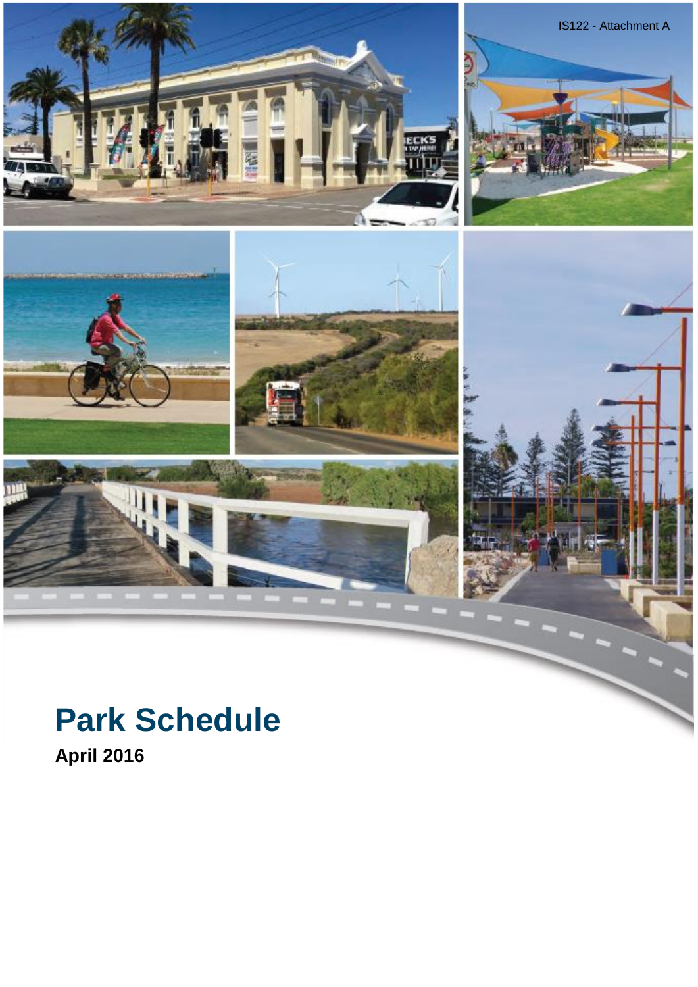

## **Park Schedule**

**April 2016**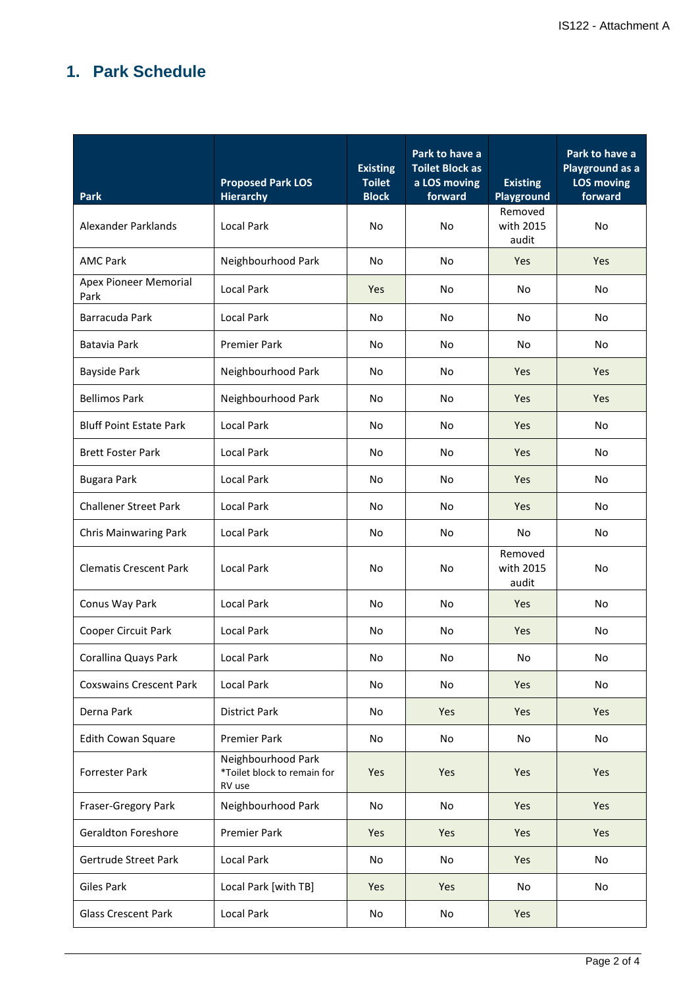## **1. Park Schedule**

| <b>Park</b>                    | <b>Proposed Park LOS</b><br><b>Hierarchy</b>                | <b>Existing</b><br><b>Toilet</b><br><b>Block</b> | Park to have a<br><b>Toilet Block as</b><br>a LOS moving<br>forward | <b>Existing</b><br>Playground | Park to have a<br>Playground as a<br><b>LOS moving</b><br>forward |
|--------------------------------|-------------------------------------------------------------|--------------------------------------------------|---------------------------------------------------------------------|-------------------------------|-------------------------------------------------------------------|
| Alexander Parklands            | <b>Local Park</b>                                           | No                                               | <b>No</b>                                                           | Removed<br>with 2015<br>audit | <b>No</b>                                                         |
| <b>AMC Park</b>                | Neighbourhood Park                                          | No                                               | No                                                                  | Yes                           | Yes                                                               |
| Apex Pioneer Memorial<br>Park  | <b>Local Park</b>                                           | Yes                                              | No                                                                  | No                            | No                                                                |
| Barracuda Park                 | <b>Local Park</b>                                           | No                                               | No                                                                  | No                            | No                                                                |
| Batavia Park                   | <b>Premier Park</b>                                         | No                                               | No                                                                  | No                            | No                                                                |
| <b>Bayside Park</b>            | Neighbourhood Park                                          | No                                               | No                                                                  | Yes                           | <b>Yes</b>                                                        |
| <b>Bellimos Park</b>           | Neighbourhood Park                                          | <b>No</b>                                        | No                                                                  | Yes                           | Yes                                                               |
| <b>Bluff Point Estate Park</b> | <b>Local Park</b>                                           | No                                               | No                                                                  | Yes                           | No                                                                |
| <b>Brett Foster Park</b>       | <b>Local Park</b>                                           | <b>No</b>                                        | No                                                                  | Yes                           | No                                                                |
| <b>Bugara Park</b>             | <b>Local Park</b>                                           | No                                               | No                                                                  | Yes                           | No                                                                |
| <b>Challener Street Park</b>   | <b>Local Park</b>                                           | No                                               | No                                                                  | Yes                           | No                                                                |
| <b>Chris Mainwaring Park</b>   | <b>Local Park</b>                                           | No                                               | No                                                                  | No                            | No                                                                |
| <b>Clematis Crescent Park</b>  | <b>Local Park</b>                                           | <b>No</b>                                        | <b>No</b>                                                           | Removed<br>with 2015<br>audit | No                                                                |
| Conus Way Park                 | <b>Local Park</b>                                           | No                                               | No                                                                  | Yes                           | No                                                                |
| Cooper Circuit Park            | <b>Local Park</b>                                           | No                                               | No                                                                  | Yes                           | No                                                                |
| Corallina Quays Park           | Local Park                                                  | No                                               | No                                                                  | No                            | No                                                                |
| <b>Coxswains Crescent Park</b> | <b>Local Park</b>                                           | No                                               | No                                                                  | Yes                           | No                                                                |
| Derna Park                     | <b>District Park</b>                                        | No                                               | Yes                                                                 | Yes                           | Yes                                                               |
| Edith Cowan Square             | <b>Premier Park</b>                                         | No                                               | No                                                                  | No                            | No                                                                |
| <b>Forrester Park</b>          | Neighbourhood Park<br>*Toilet block to remain for<br>RV use | Yes                                              | Yes                                                                 | Yes                           | Yes                                                               |
| Fraser-Gregory Park            | Neighbourhood Park                                          | No                                               | No                                                                  | Yes                           | Yes                                                               |
| <b>Geraldton Foreshore</b>     | <b>Premier Park</b>                                         | Yes                                              | Yes                                                                 | Yes                           | Yes                                                               |
| Gertrude Street Park           | <b>Local Park</b>                                           | No                                               | No                                                                  | Yes                           | No                                                                |
| <b>Giles Park</b>              | Local Park [with TB]                                        | Yes                                              | Yes                                                                 | No                            | No                                                                |
| <b>Glass Crescent Park</b>     | <b>Local Park</b>                                           | No                                               | No                                                                  | Yes                           |                                                                   |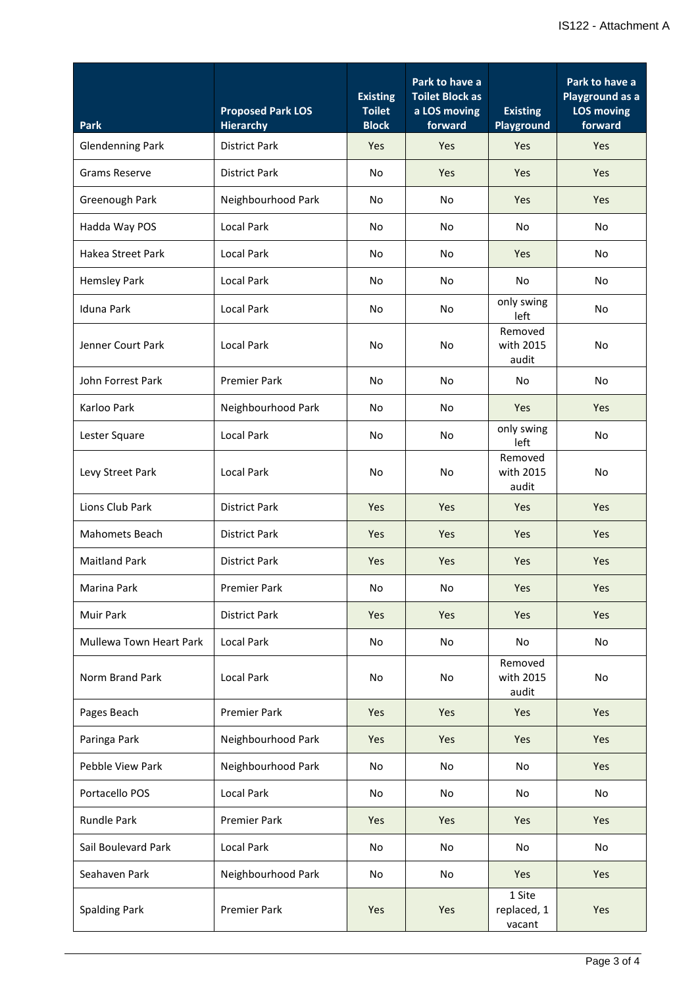| <b>Park</b>                    | <b>Proposed Park LOS</b><br><b>Hierarchy</b> | <b>Existing</b><br><b>Toilet</b><br><b>Block</b> | Park to have a<br><b>Toilet Block as</b><br>a LOS moving<br>forward | <b>Existing</b><br>Playground   | Park to have a<br>Playground as a<br><b>LOS moving</b><br>forward |
|--------------------------------|----------------------------------------------|--------------------------------------------------|---------------------------------------------------------------------|---------------------------------|-------------------------------------------------------------------|
| <b>Glendenning Park</b>        | <b>District Park</b>                         | Yes                                              | Yes                                                                 | Yes                             | Yes                                                               |
| <b>Grams Reserve</b>           | <b>District Park</b>                         | No                                               | Yes                                                                 | Yes                             | <b>Yes</b>                                                        |
| Greenough Park                 | Neighbourhood Park                           | No                                               | No                                                                  | Yes                             | Yes                                                               |
| Hadda Way POS                  | <b>Local Park</b>                            | No                                               | No                                                                  | No                              | No                                                                |
| Hakea Street Park              | <b>Local Park</b>                            | No                                               | No                                                                  | Yes                             | No                                                                |
| Hemsley Park                   | <b>Local Park</b>                            | No                                               | No                                                                  | No                              | No                                                                |
| Iduna Park                     | <b>Local Park</b>                            | No                                               | No                                                                  | only swing<br>left              | No                                                                |
| Jenner Court Park              | <b>Local Park</b>                            | <b>No</b>                                        | <b>No</b>                                                           | Removed<br>with 2015<br>audit   | <b>No</b>                                                         |
| John Forrest Park              | <b>Premier Park</b>                          | <b>No</b>                                        | No                                                                  | No                              | No                                                                |
| Karloo Park                    | Neighbourhood Park                           | No                                               | No                                                                  | Yes                             | Yes                                                               |
| Lester Square                  | <b>Local Park</b>                            | No                                               | No                                                                  | only swing<br>left              | No                                                                |
| Levy Street Park               | <b>Local Park</b>                            | <b>No</b>                                        | <b>No</b>                                                           | Removed<br>with 2015<br>audit   | <b>No</b>                                                         |
| Lions Club Park                | <b>District Park</b>                         | Yes                                              | Yes                                                                 | Yes                             | Yes                                                               |
| Mahomets Beach                 | <b>District Park</b>                         | Yes                                              | Yes                                                                 | Yes                             | Yes                                                               |
| <b>Maitland Park</b>           | <b>District Park</b>                         | Yes                                              | Yes                                                                 | Yes                             | Yes                                                               |
| Marina Park                    | Premier Park                                 | No                                               | No                                                                  | Yes                             | Yes                                                               |
| <b>Muir Park</b>               | <b>District Park</b>                         | Yes                                              | Yes                                                                 | Yes                             | Yes                                                               |
| <b>Mullewa Town Heart Park</b> | <b>Local Park</b>                            | No                                               | No                                                                  | No                              | No                                                                |
| Norm Brand Park                | Local Park                                   | <b>No</b>                                        | <b>No</b>                                                           | Removed<br>with 2015<br>audit   | No                                                                |
| Pages Beach                    | <b>Premier Park</b>                          | Yes                                              | <b>Yes</b>                                                          | Yes                             | <b>Yes</b>                                                        |
| Paringa Park                   | Neighbourhood Park                           | Yes                                              | Yes                                                                 | Yes                             | Yes                                                               |
| Pebble View Park               | Neighbourhood Park                           | No                                               | No                                                                  | No                              | Yes                                                               |
| Portacello POS                 | <b>Local Park</b>                            | <b>No</b>                                        | <b>No</b>                                                           | No                              | <b>No</b>                                                         |
| Rundle Park                    | <b>Premier Park</b>                          | Yes                                              | Yes                                                                 | Yes                             | Yes                                                               |
| Sail Boulevard Park            | <b>Local Park</b>                            | No                                               | No                                                                  | No                              | No                                                                |
| Seahaven Park                  | Neighbourhood Park                           | <b>No</b>                                        | <b>No</b>                                                           | Yes                             | <b>Yes</b>                                                        |
| <b>Spalding Park</b>           | <b>Premier Park</b>                          | Yes                                              | Yes                                                                 | 1 Site<br>replaced, 1<br>vacant | Yes                                                               |